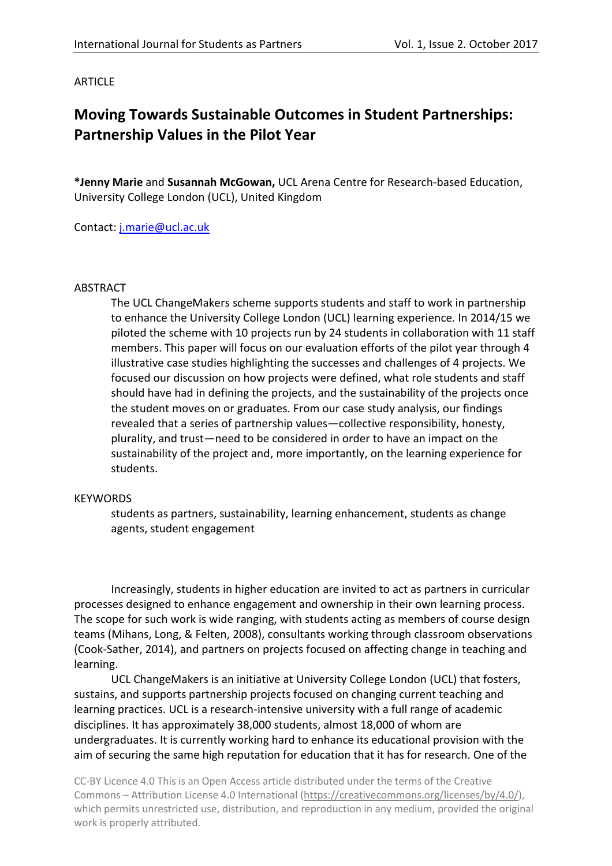# **ARTICLE**

# **Moving Towards Sustainable Outcomes in Student Partnerships: Partnership Values in the Pilot Year**

**\*Jenny Marie** and **Susannah McGowan,** UCL Arena Centre for Research-based Education, University College London (UCL), United Kingdom

Contact: [j.marie@ucl.ac.uk](mailto:j.marie@ucl.ac.uk)

## ABSTRACT

The UCL ChangeMakers scheme supports students and staff to work in partnership to enhance the University College London (UCL) learning experience. In 2014/15 we piloted the scheme with 10 projects run by 24 students in collaboration with 11 staff members. This paper will focus on our evaluation efforts of the pilot year through 4 illustrative case studies highlighting the successes and challenges of 4 projects. We focused our discussion on how projects were defined, what role students and staff should have had in defining the projects, and the sustainability of the projects once the student moves on or graduates. From our case study analysis, our findings revealed that a series of partnership values—collective responsibility, honesty, plurality, and trust—need to be considered in order to have an impact on the sustainability of the project and, more importantly, on the learning experience for students.

#### **KEYWORDS**

students as partners, sustainability, learning enhancement, students as change agents, student engagement

Increasingly, students in higher education are invited to act as partners in curricular processes designed to enhance engagement and ownership in their own learning process. The scope for such work is wide ranging, with students acting as members of course design teams (Mihans, Long, & Felten, 2008), consultants working through classroom observations (Cook-Sather, 2014), and partners on projects focused on affecting change in teaching and learning.

UCL ChangeMakers is an initiative at University College London (UCL) that fosters, sustains, and supports partnership projects focused on changing current teaching and learning practices. UCL is a research-intensive university with a full range of academic disciplines. It has approximately 38,000 students, almost 18,000 of whom are undergraduates. It is currently working hard to enhance its educational provision with the aim of securing the same high reputation for education that it has for research. One of the

CC-BY Licence 4.0 This is an Open Access article distributed under the terms of the Creative Commons – Attribution License 4.0 International [\(https://creativecommons.org/licenses/by/4.0/\)](https://creativecommons.org/licenses/by/4.0/), which permits unrestricted use, distribution, and reproduction in any medium, provided the original work is properly attributed.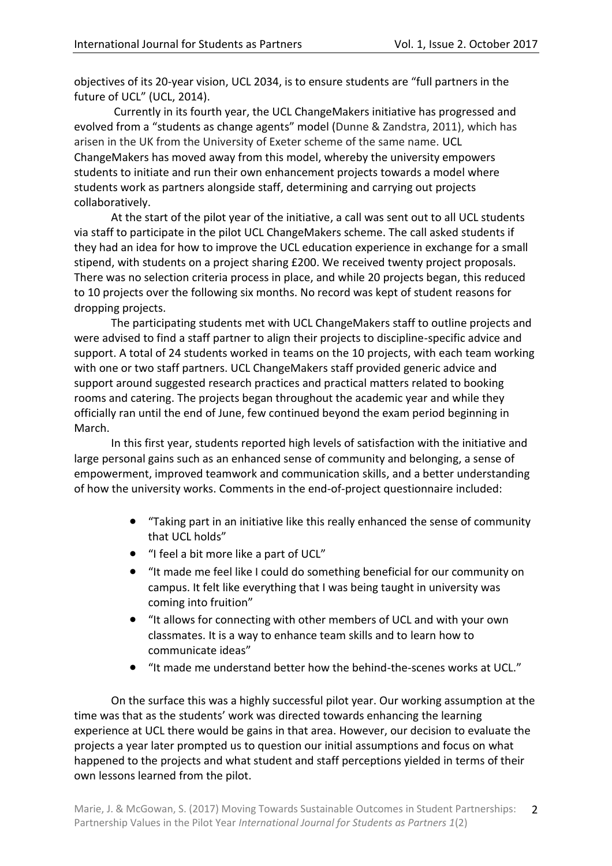objectives of its 20-year vision, UCL 2034, is to ensure students are "full partners in the future of UCL" (UCL, 2014).

Currently in its fourth year, the UCL ChangeMakers initiative has progressed and evolved from a "students as change agents" model (Dunne & Zandstra, 2011), which has arisen in the UK from the University of Exeter scheme of the same name. UCL ChangeMakers has moved away from this model, whereby the university empowers students to initiate and run their own enhancement projects towards a model where students work as partners alongside staff, determining and carrying out projects collaboratively.

At the start of the pilot year of the initiative, a call was sent out to all UCL students via staff to participate in the pilot UCL ChangeMakers scheme. The call asked students if they had an idea for how to improve the UCL education experience in exchange for a small stipend, with students on a project sharing £200. We received twenty project proposals. There was no selection criteria process in place, and while 20 projects began, this reduced to 10 projects over the following six months. No record was kept of student reasons for dropping projects.

The participating students met with UCL ChangeMakers staff to outline projects and were advised to find a staff partner to align their projects to discipline-specific advice and support. A total of 24 students worked in teams on the 10 projects, with each team working with one or two staff partners. UCL ChangeMakers staff provided generic advice and support around suggested research practices and practical matters related to booking rooms and catering. The projects began throughout the academic year and while they officially ran until the end of June, few continued beyond the exam period beginning in March.

In this first year, students reported high levels of satisfaction with the initiative and large personal gains such as an enhanced sense of community and belonging, a sense of empowerment, improved teamwork and communication skills, and a better understanding of how the university works. Comments in the end-of-project questionnaire included:

- "Taking part in an initiative like this really enhanced the sense of community that UCL holds"
- "I feel a bit more like a part of UCL"
- "It made me feel like I could do something beneficial for our community on campus. It felt like everything that I was being taught in university was coming into fruition"
- "It allows for connecting with other members of UCL and with your own classmates. It is a way to enhance team skills and to learn how to communicate ideas"
- "It made me understand better how the behind-the-scenes works at UCL."

On the surface this was a highly successful pilot year. Our working assumption at the time was that as the students' work was directed towards enhancing the learning experience at UCL there would be gains in that area. However, our decision to evaluate the projects a year later prompted us to question our initial assumptions and focus on what happened to the projects and what student and staff perceptions yielded in terms of their own lessons learned from the pilot.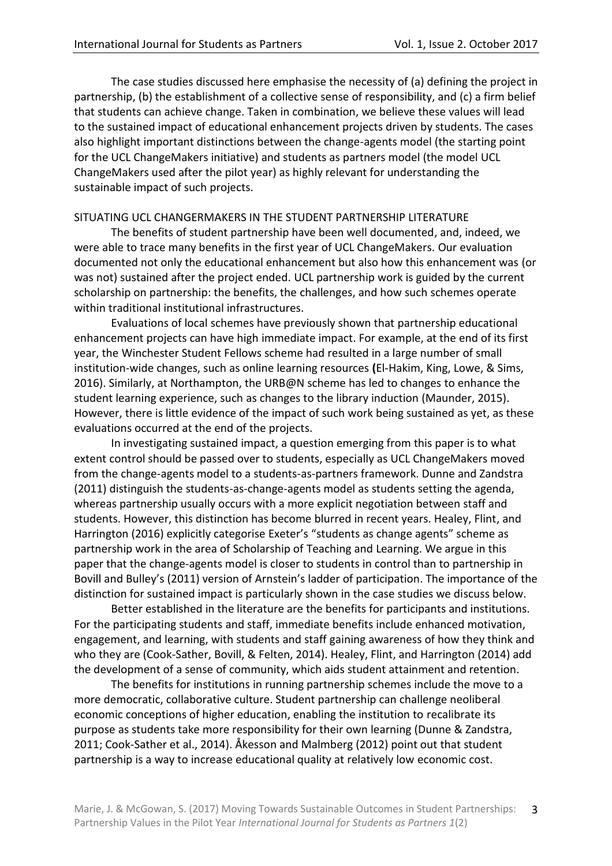The case studies discussed here emphasise the necessity of (a) defining the project in partnership, (b) the establishment of a collective sense of responsibility, and (c) a firm belief that students can achieve change. Taken in combination, we believe these values will lead to the sustained impact of educational enhancement projects driven by students. The cases also highlight important distinctions between the change-agents model (the starting point for the UCL ChangeMakers initiative) and students as partners model (the model UCL ChangeMakers used after the pilot year) as highly relevant for understanding the sustainable impact of such projects.

## SITUATING UCL CHANGERMAKERS IN THE STUDENT PARTNERSHIP LITERATURE

The benefits of student partnership have been well documented, and, indeed, we were able to trace many benefits in the first year of UCL ChangeMakers. Our evaluation documented not only the educational enhancement but also how this enhancement was (or was not) sustained after the project ended. UCL partnership work is guided by the current scholarship on partnership: the benefits, the challenges, and how such schemes operate within traditional institutional infrastructures.

Evaluations of local schemes have previously shown that partnership educational enhancement projects can have high immediate impact. For example, at the end of its first year, the Winchester Student Fellows scheme had resulted in a large number of small institution-wide changes, such as online learning resources **(**El-Hakim, King, Lowe, & Sims, 2016). Similarly, at Northampton, the URB@N scheme has led to changes to enhance the student learning experience, such as changes to the library induction (Maunder, 2015). However, there is little evidence of the impact of such work being sustained as yet, as these evaluations occurred at the end of the projects.

In investigating sustained impact, a question emerging from this paper is to what extent control should be passed over to students, especially as UCL ChangeMakers moved from the change-agents model to a students-as-partners framework. Dunne and Zandstra (2011) distinguish the students-as-change-agents model as students setting the agenda, whereas partnership usually occurs with a more explicit negotiation between staff and students. However, this distinction has become blurred in recent years. Healey, Flint, and Harrington (2016) explicitly categorise Exeter's "students as change agents" scheme as partnership work in the area of Scholarship of Teaching and Learning. We argue in this paper that the change-agents model is closer to students in control than to partnership in Bovill and Bulley's (2011) version of Arnstein's ladder of participation. The importance of the distinction for sustained impact is particularly shown in the case studies we discuss below.

Better established in the literature are the benefits for participants and institutions. For the participating students and staff, immediate benefits include enhanced motivation, engagement, and learning, with students and staff gaining awareness of how they think and who they are (Cook-Sather, Bovill, & Felten, 2014). Healey, Flint, and Harrington (2014) add the development of a sense of community, which aids student attainment and retention.

The benefits for institutions in running partnership schemes include the move to a more democratic, collaborative culture. Student partnership can challenge neoliberal economic conceptions of higher education, enabling the institution to recalibrate its purpose as students take more responsibility for their own learning (Dunne & Zandstra, 2011; Cook-Sather et al., 2014). Åkesson and Malmberg (2012) point out that student partnership is a way to increase educational quality at relatively low economic cost.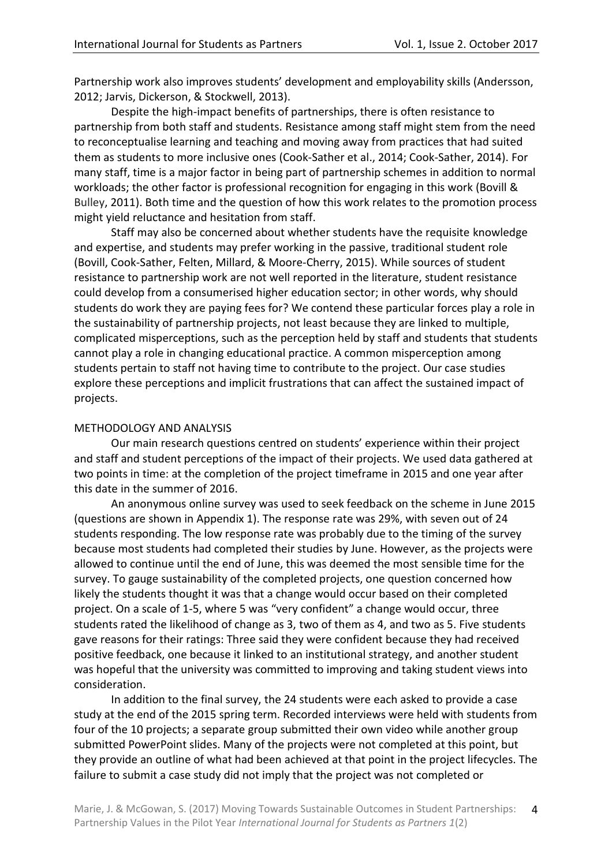Partnership work also improves students' development and employability skills (Andersson, 2012; Jarvis, Dickerson, & Stockwell, 2013).

Despite the high-impact benefits of partnerships, there is often resistance to partnership from both staff and students. Resistance among staff might stem from the need to reconceptualise learning and teaching and moving away from practices that had suited them as students to more inclusive ones (Cook-Sather et al., 2014; Cook-Sather, 2014). For many staff, time is a major factor in being part of partnership schemes in addition to normal workloads; the other factor is professional recognition for engaging in this work (Bovill & Bulley, 2011). Both time and the question of how this work relates to the promotion process might yield reluctance and hesitation from staff.

Staff may also be concerned about whether students have the requisite knowledge and expertise, and students may prefer working in the passive, traditional student role (Bovill, Cook-Sather, Felten, Millard, & Moore-Cherry, 2015). While sources of student resistance to partnership work are not well reported in the literature, student resistance could develop from a consumerised higher education sector; in other words, why should students do work they are paying fees for? We contend these particular forces play a role in the sustainability of partnership projects, not least because they are linked to multiple, complicated misperceptions, such as the perception held by staff and students that students cannot play a role in changing educational practice. A common misperception among students pertain to staff not having time to contribute to the project. Our case studies explore these perceptions and implicit frustrations that can affect the sustained impact of projects.

## METHODOLOGY AND ANALYSIS

Our main research questions centred on students' experience within their project and staff and student perceptions of the impact of their projects. We used data gathered at two points in time: at the completion of the project timeframe in 2015 and one year after this date in the summer of 2016.

An anonymous online survey was used to seek feedback on the scheme in June 2015 (questions are shown in Appendix 1). The response rate was 29%, with seven out of 24 students responding. The low response rate was probably due to the timing of the survey because most students had completed their studies by June. However, as the projects were allowed to continue until the end of June, this was deemed the most sensible time for the survey. To gauge sustainability of the completed projects, one question concerned how likely the students thought it was that a change would occur based on their completed project. On a scale of 1-5, where 5 was "very confident" a change would occur, three students rated the likelihood of change as 3, two of them as 4, and two as 5. Five students gave reasons for their ratings: Three said they were confident because they had received positive feedback, one because it linked to an institutional strategy, and another student was hopeful that the university was committed to improving and taking student views into consideration.

In addition to the final survey, the 24 students were each asked to provide a case study at the end of the 2015 spring term. Recorded interviews were held with students from four of the 10 projects; a separate group submitted their own video while another group submitted PowerPoint slides. Many of the projects were not completed at this point, but they provide an outline of what had been achieved at that point in the project lifecycles. The failure to submit a case study did not imply that the project was not completed or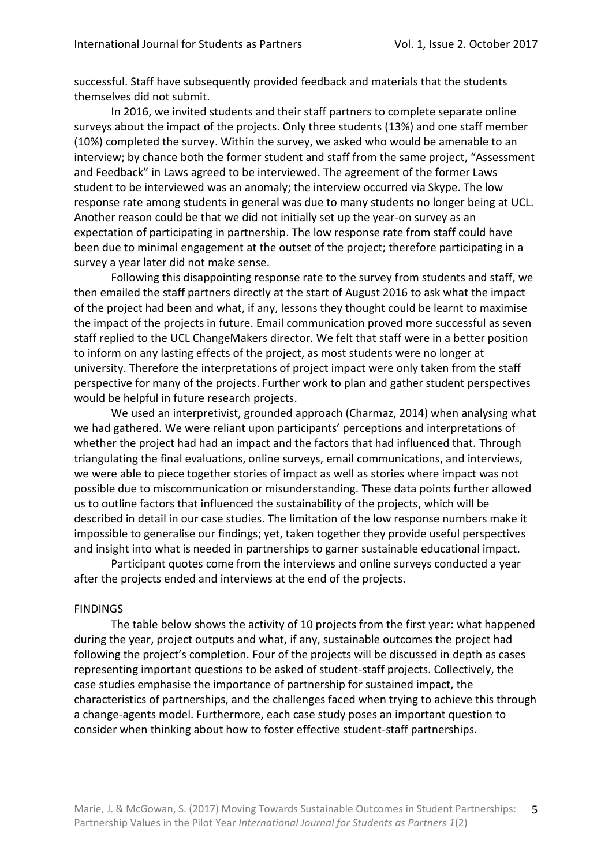successful. Staff have subsequently provided feedback and materials that the students themselves did not submit.

In 2016, we invited students and their staff partners to complete separate online surveys about the impact of the projects. Only three students (13%) and one staff member (10%) completed the survey. Within the survey, we asked who would be amenable to an interview; by chance both the former student and staff from the same project, "Assessment and Feedback" in Laws agreed to be interviewed. The agreement of the former Laws student to be interviewed was an anomaly; the interview occurred via Skype. The low response rate among students in general was due to many students no longer being at UCL. Another reason could be that we did not initially set up the year-on survey as an expectation of participating in partnership. The low response rate from staff could have been due to minimal engagement at the outset of the project; therefore participating in a survey a year later did not make sense.

Following this disappointing response rate to the survey from students and staff, we then emailed the staff partners directly at the start of August 2016 to ask what the impact of the project had been and what, if any, lessons they thought could be learnt to maximise the impact of the projects in future. Email communication proved more successful as seven staff replied to the UCL ChangeMakers director. We felt that staff were in a better position to inform on any lasting effects of the project, as most students were no longer at university. Therefore the interpretations of project impact were only taken from the staff perspective for many of the projects. Further work to plan and gather student perspectives would be helpful in future research projects.

We used an interpretivist, grounded approach (Charmaz, 2014) when analysing what we had gathered. We were reliant upon participants' perceptions and interpretations of whether the project had had an impact and the factors that had influenced that. Through triangulating the final evaluations, online surveys, email communications, and interviews, we were able to piece together stories of impact as well as stories where impact was not possible due to miscommunication or misunderstanding. These data points further allowed us to outline factors that influenced the sustainability of the projects, which will be described in detail in our case studies. The limitation of the low response numbers make it impossible to generalise our findings; yet, taken together they provide useful perspectives and insight into what is needed in partnerships to garner sustainable educational impact.

Participant quotes come from the interviews and online surveys conducted a year after the projects ended and interviews at the end of the projects.

#### FINDINGS

The table below shows the activity of 10 projects from the first year: what happened during the year, project outputs and what, if any, sustainable outcomes the project had following the project's completion. Four of the projects will be discussed in depth as cases representing important questions to be asked of student-staff projects. Collectively, the case studies emphasise the importance of partnership for sustained impact, the characteristics of partnerships, and the challenges faced when trying to achieve this through a change-agents model. Furthermore, each case study poses an important question to consider when thinking about how to foster effective student-staff partnerships.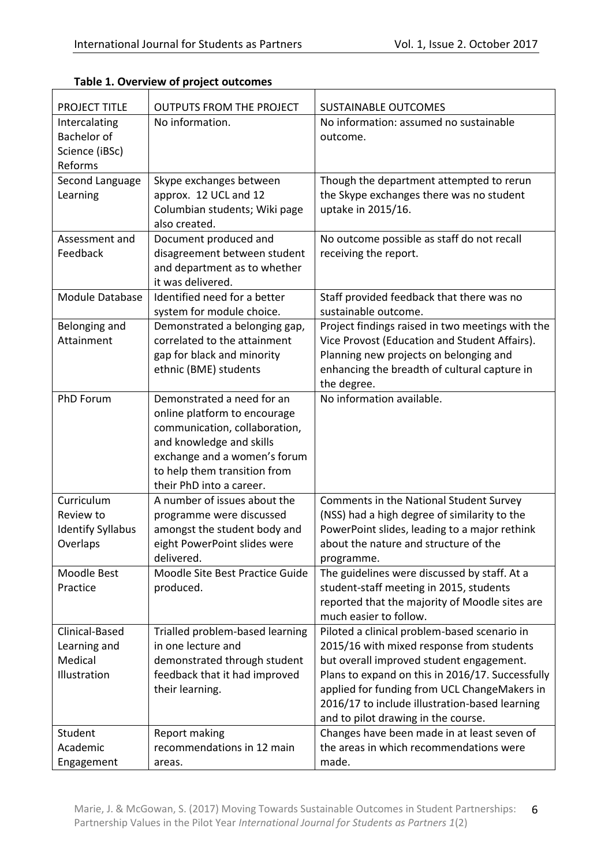| <b>PROJECT TITLE</b>       | <b>OUTPUTS FROM THE PROJECT</b>                          | <b>SUSTAINABLE OUTCOMES</b>                                                             |
|----------------------------|----------------------------------------------------------|-----------------------------------------------------------------------------------------|
| Intercalating              | No information.                                          | No information: assumed no sustainable                                                  |
| <b>Bachelor</b> of         |                                                          | outcome.                                                                                |
| Science (iBSc)             |                                                          |                                                                                         |
| Reforms                    |                                                          |                                                                                         |
| Second Language            | Skype exchanges between                                  | Though the department attempted to rerun                                                |
| Learning                   | approx. 12 UCL and 12                                    | the Skype exchanges there was no student                                                |
|                            | Columbian students; Wiki page                            | uptake in 2015/16.                                                                      |
|                            | also created.                                            |                                                                                         |
| Assessment and<br>Feedback | Document produced and<br>disagreement between student    | No outcome possible as staff do not recall<br>receiving the report.                     |
|                            | and department as to whether                             |                                                                                         |
|                            | it was delivered.                                        |                                                                                         |
| Module Database            | Identified need for a better                             | Staff provided feedback that there was no                                               |
|                            | system for module choice.                                | sustainable outcome.                                                                    |
| Belonging and              | Demonstrated a belonging gap,                            | Project findings raised in two meetings with the                                        |
| Attainment                 | correlated to the attainment                             | Vice Provost (Education and Student Affairs).                                           |
|                            | gap for black and minority                               | Planning new projects on belonging and                                                  |
|                            | ethnic (BME) students                                    | enhancing the breadth of cultural capture in                                            |
|                            |                                                          | the degree.                                                                             |
| PhD Forum                  | Demonstrated a need for an                               | No information available.                                                               |
|                            | online platform to encourage                             |                                                                                         |
|                            | communication, collaboration,                            |                                                                                         |
|                            | and knowledge and skills                                 |                                                                                         |
|                            | exchange and a women's forum                             |                                                                                         |
|                            | to help them transition from                             |                                                                                         |
| Curriculum                 | their PhD into a career.<br>A number of issues about the |                                                                                         |
| Review to                  |                                                          | Comments in the National Student Survey<br>(NSS) had a high degree of similarity to the |
| <b>Identify Syllabus</b>   | programme were discussed<br>amongst the student body and | PowerPoint slides, leading to a major rethink                                           |
| Overlaps                   | eight PowerPoint slides were                             | about the nature and structure of the                                                   |
|                            | delivered.                                               | programme.                                                                              |
| Moodle Best                | Moodle Site Best Practice Guide                          | The guidelines were discussed by staff. At a                                            |
| Practice                   | produced.                                                | student-staff meeting in 2015, students                                                 |
|                            |                                                          | reported that the majority of Moodle sites are                                          |
|                            |                                                          | much easier to follow.                                                                  |
| Clinical-Based             | Trialled problem-based learning                          | Piloted a clinical problem-based scenario in                                            |
| Learning and               | in one lecture and                                       | 2015/16 with mixed response from students                                               |
| Medical                    | demonstrated through student                             | but overall improved student engagement.                                                |
| Illustration               | feedback that it had improved                            | Plans to expand on this in 2016/17. Successfully                                        |
|                            | their learning.                                          | applied for funding from UCL ChangeMakers in                                            |
|                            |                                                          | 2016/17 to include illustration-based learning                                          |
|                            |                                                          | and to pilot drawing in the course.                                                     |
| Student                    | Report making                                            | Changes have been made in at least seven of                                             |
| Academic                   | recommendations in 12 main                               | the areas in which recommendations were                                                 |
| Engagement                 | areas.                                                   | made.                                                                                   |

**Table 1. Overview of project outcomes**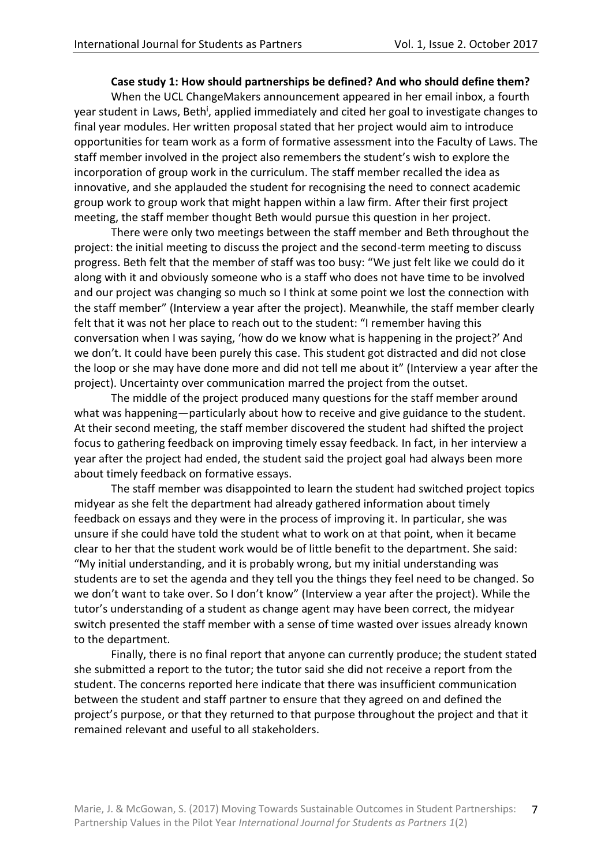# **Case study 1: How should partnerships be defined? And who should define them?**

When the UCL ChangeMakers announcement appeared in her email inbox, a fourth year student in Laws, Beth<sup>i</sup>, applied immediately and cited her goal to investigate changes to final year modules. Her written proposal stated that her project would aim to introduce opportunities for team work as a form of formative assessment into the Faculty of Laws. The staff member involved in the project also remembers the student's wish to explore the incorporation of group work in the curriculum. The staff member recalled the idea as innovative, and she applauded the student for recognising the need to connect academic group work to group work that might happen within a law firm. After their first project meeting, the staff member thought Beth would pursue this question in her project.

There were only two meetings between the staff member and Beth throughout the project: the initial meeting to discuss the project and the second-term meeting to discuss progress. Beth felt that the member of staff was too busy: "We just felt like we could do it along with it and obviously someone who is a staff who does not have time to be involved and our project was changing so much so I think at some point we lost the connection with the staff member" (Interview a year after the project). Meanwhile, the staff member clearly felt that it was not her place to reach out to the student: "I remember having this conversation when I was saying, 'how do we know what is happening in the project?' And we don't. It could have been purely this case. This student got distracted and did not close the loop or she may have done more and did not tell me about it" (Interview a year after the project). Uncertainty over communication marred the project from the outset.

The middle of the project produced many questions for the staff member around what was happening—particularly about how to receive and give guidance to the student. At their second meeting, the staff member discovered the student had shifted the project focus to gathering feedback on improving timely essay feedback. In fact, in her interview a year after the project had ended, the student said the project goal had always been more about timely feedback on formative essays.

The staff member was disappointed to learn the student had switched project topics midyear as she felt the department had already gathered information about timely feedback on essays and they were in the process of improving it. In particular, she was unsure if she could have told the student what to work on at that point, when it became clear to her that the student work would be of little benefit to the department. She said: "My initial understanding, and it is probably wrong, but my initial understanding was students are to set the agenda and they tell you the things they feel need to be changed. So we don't want to take over. So I don't know" (Interview a year after the project). While the tutor's understanding of a student as change agent may have been correct, the midyear switch presented the staff member with a sense of time wasted over issues already known to the department.

Finally, there is no final report that anyone can currently produce; the student stated she submitted a report to the tutor; the tutor said she did not receive a report from the student. The concerns reported here indicate that there was insufficient communication between the student and staff partner to ensure that they agreed on and defined the project's purpose, or that they returned to that purpose throughout the project and that it remained relevant and useful to all stakeholders.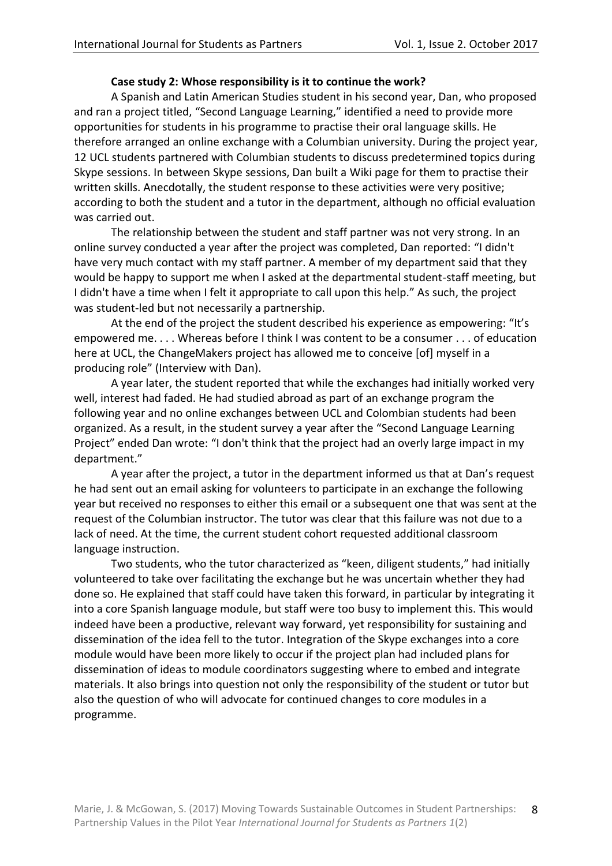# **Case study 2: Whose responsibility is it to continue the work?**

A Spanish and Latin American Studies student in his second year, Dan, who proposed and ran a project titled, "Second Language Learning," identified a need to provide more opportunities for students in his programme to practise their oral language skills. He therefore arranged an online exchange with a Columbian university. During the project year, 12 UCL students partnered with Columbian students to discuss predetermined topics during Skype sessions. In between Skype sessions, Dan built a Wiki page for them to practise their written skills. Anecdotally, the student response to these activities were very positive; according to both the student and a tutor in the department, although no official evaluation was carried out.

The relationship between the student and staff partner was not very strong. In an online survey conducted a year after the project was completed, Dan reported: "I didn't have very much contact with my staff partner. A member of my department said that they would be happy to support me when I asked at the departmental student-staff meeting, but I didn't have a time when I felt it appropriate to call upon this help." As such, the project was student-led but not necessarily a partnership.

At the end of the project the student described his experience as empowering: "It's empowered me. . . . Whereas before I think I was content to be a consumer . . . of education here at UCL, the ChangeMakers project has allowed me to conceive [of] myself in a producing role" (Interview with Dan).

A year later, the student reported that while the exchanges had initially worked very well, interest had faded. He had studied abroad as part of an exchange program the following year and no online exchanges between UCL and Colombian students had been organized. As a result, in the student survey a year after the "Second Language Learning Project" ended Dan wrote: "I don't think that the project had an overly large impact in my department."

A year after the project, a tutor in the department informed us that at Dan's request he had sent out an email asking for volunteers to participate in an exchange the following year but received no responses to either this email or a subsequent one that was sent at the request of the Columbian instructor. The tutor was clear that this failure was not due to a lack of need. At the time, the current student cohort requested additional classroom language instruction.

Two students, who the tutor characterized as "keen, diligent students," had initially volunteered to take over facilitating the exchange but he was uncertain whether they had done so. He explained that staff could have taken this forward, in particular by integrating it into a core Spanish language module, but staff were too busy to implement this. This would indeed have been a productive, relevant way forward, yet responsibility for sustaining and dissemination of the idea fell to the tutor. Integration of the Skype exchanges into a core module would have been more likely to occur if the project plan had included plans for dissemination of ideas to module coordinators suggesting where to embed and integrate materials. It also brings into question not only the responsibility of the student or tutor but also the question of who will advocate for continued changes to core modules in a programme.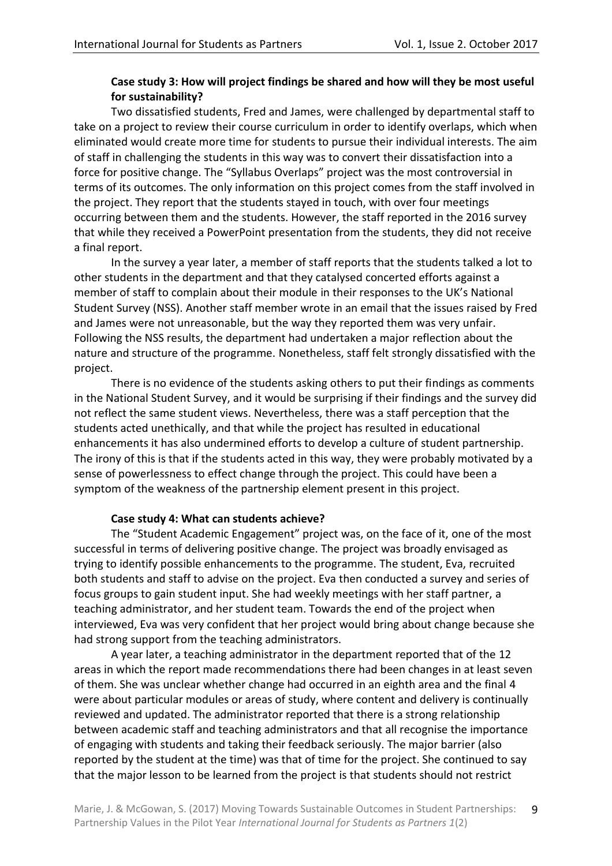# **Case study 3: How will project findings be shared and how will they be most useful for sustainability?**

Two dissatisfied students, Fred and James, were challenged by departmental staff to take on a project to review their course curriculum in order to identify overlaps, which when eliminated would create more time for students to pursue their individual interests. The aim of staff in challenging the students in this way was to convert their dissatisfaction into a force for positive change. The "Syllabus Overlaps" project was the most controversial in terms of its outcomes. The only information on this project comes from the staff involved in the project. They report that the students stayed in touch, with over four meetings occurring between them and the students. However, the staff reported in the 2016 survey that while they received a PowerPoint presentation from the students, they did not receive a final report.

In the survey a year later, a member of staff reports that the students talked a lot to other students in the department and that they catalysed concerted efforts against a member of staff to complain about their module in their responses to the UK's National Student Survey (NSS). Another staff member wrote in an email that the issues raised by Fred and James were not unreasonable, but the way they reported them was very unfair. Following the NSS results, the department had undertaken a major reflection about the nature and structure of the programme. Nonetheless, staff felt strongly dissatisfied with the project.

There is no evidence of the students asking others to put their findings as comments in the National Student Survey, and it would be surprising if their findings and the survey did not reflect the same student views. Nevertheless, there was a staff perception that the students acted unethically, and that while the project has resulted in educational enhancements it has also undermined efforts to develop a culture of student partnership. The irony of this is that if the students acted in this way, they were probably motivated by a sense of powerlessness to effect change through the project. This could have been a symptom of the weakness of the partnership element present in this project.

# **Case study 4: What can students achieve?**

The "Student Academic Engagement" project was, on the face of it, one of the most successful in terms of delivering positive change. The project was broadly envisaged as trying to identify possible enhancements to the programme. The student, Eva, recruited both students and staff to advise on the project. Eva then conducted a survey and series of focus groups to gain student input. She had weekly meetings with her staff partner, a teaching administrator, and her student team. Towards the end of the project when interviewed, Eva was very confident that her project would bring about change because she had strong support from the teaching administrators.

A year later, a teaching administrator in the department reported that of the 12 areas in which the report made recommendations there had been changes in at least seven of them. She was unclear whether change had occurred in an eighth area and the final 4 were about particular modules or areas of study, where content and delivery is continually reviewed and updated. The administrator reported that there is a strong relationship between academic staff and teaching administrators and that all recognise the importance of engaging with students and taking their feedback seriously. The major barrier (also reported by the student at the time) was that of time for the project. She continued to say that the major lesson to be learned from the project is that students should not restrict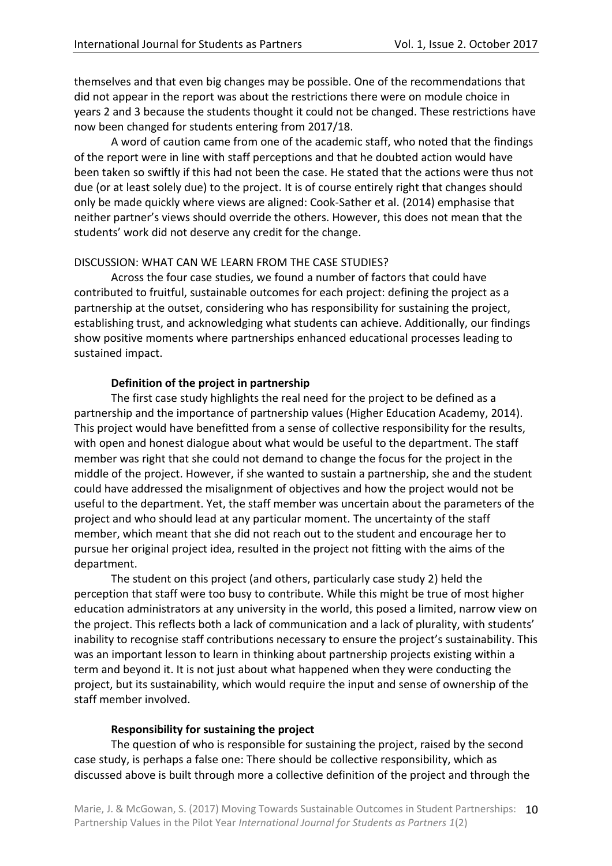themselves and that even big changes may be possible. One of the recommendations that did not appear in the report was about the restrictions there were on module choice in years 2 and 3 because the students thought it could not be changed. These restrictions have now been changed for students entering from 2017/18.

A word of caution came from one of the academic staff, who noted that the findings of the report were in line with staff perceptions and that he doubted action would have been taken so swiftly if this had not been the case. He stated that the actions were thus not due (or at least solely due) to the project. It is of course entirely right that changes should only be made quickly where views are aligned: Cook-Sather et al. (2014) emphasise that neither partner's views should override the others. However, this does not mean that the students' work did not deserve any credit for the change.

#### DISCUSSION: WHAT CAN WE LEARN FROM THE CASE STUDIES?

Across the four case studies, we found a number of factors that could have contributed to fruitful, sustainable outcomes for each project: defining the project as a partnership at the outset, considering who has responsibility for sustaining the project, establishing trust, and acknowledging what students can achieve. Additionally, our findings show positive moments where partnerships enhanced educational processes leading to sustained impact.

## **Definition of the project in partnership**

The first case study highlights the real need for the project to be defined as a partnership and the importance of partnership values (Higher Education Academy, 2014). This project would have benefitted from a sense of collective responsibility for the results, with open and honest dialogue about what would be useful to the department. The staff member was right that she could not demand to change the focus for the project in the middle of the project. However, if she wanted to sustain a partnership, she and the student could have addressed the misalignment of objectives and how the project would not be useful to the department. Yet, the staff member was uncertain about the parameters of the project and who should lead at any particular moment. The uncertainty of the staff member, which meant that she did not reach out to the student and encourage her to pursue her original project idea, resulted in the project not fitting with the aims of the department.

The student on this project (and others, particularly case study 2) held the perception that staff were too busy to contribute. While this might be true of most higher education administrators at any university in the world, this posed a limited, narrow view on the project. This reflects both a lack of communication and a lack of plurality, with students' inability to recognise staff contributions necessary to ensure the project's sustainability. This was an important lesson to learn in thinking about partnership projects existing within a term and beyond it. It is not just about what happened when they were conducting the project, but its sustainability, which would require the input and sense of ownership of the staff member involved.

#### **Responsibility for sustaining the project**

The question of who is responsible for sustaining the project, raised by the second case study, is perhaps a false one: There should be collective responsibility, which as discussed above is built through more a collective definition of the project and through the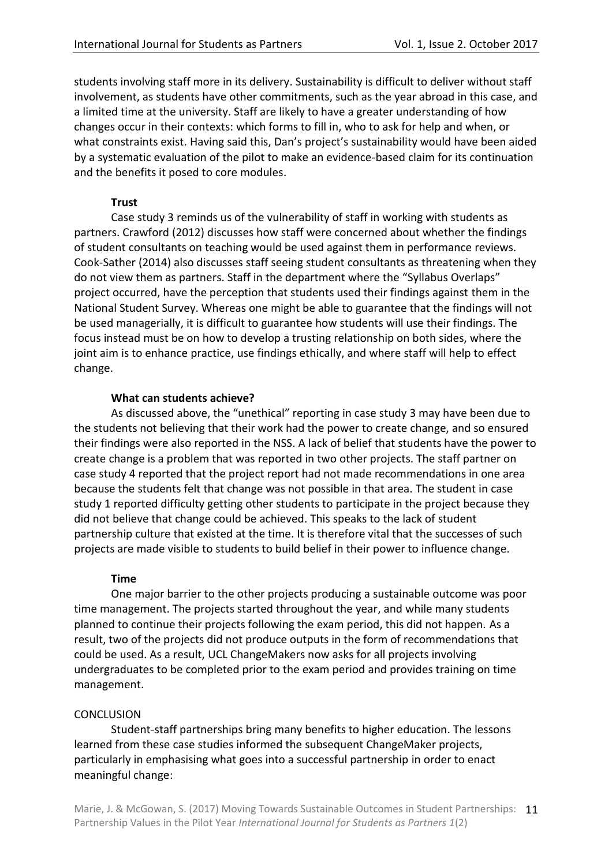students involving staff more in its delivery. Sustainability is difficult to deliver without staff involvement, as students have other commitments, such as the year abroad in this case, and a limited time at the university. Staff are likely to have a greater understanding of how changes occur in their contexts: which forms to fill in, who to ask for help and when, or what constraints exist. Having said this, Dan's project's sustainability would have been aided by a systematic evaluation of the pilot to make an evidence-based claim for its continuation and the benefits it posed to core modules.

# **Trust**

Case study 3 reminds us of the vulnerability of staff in working with students as partners. Crawford (2012) discusses how staff were concerned about whether the findings of student consultants on teaching would be used against them in performance reviews. Cook-Sather (2014) also discusses staff seeing student consultants as threatening when they do not view them as partners. Staff in the department where the "Syllabus Overlaps" project occurred, have the perception that students used their findings against them in the National Student Survey. Whereas one might be able to guarantee that the findings will not be used managerially, it is difficult to guarantee how students will use their findings. The focus instead must be on how to develop a trusting relationship on both sides, where the joint aim is to enhance practice, use findings ethically, and where staff will help to effect change.

## **What can students achieve?**

As discussed above, the "unethical" reporting in case study 3 may have been due to the students not believing that their work had the power to create change, and so ensured their findings were also reported in the NSS. A lack of belief that students have the power to create change is a problem that was reported in two other projects. The staff partner on case study 4 reported that the project report had not made recommendations in one area because the students felt that change was not possible in that area. The student in case study 1 reported difficulty getting other students to participate in the project because they did not believe that change could be achieved. This speaks to the lack of student partnership culture that existed at the time. It is therefore vital that the successes of such projects are made visible to students to build belief in their power to influence change.

# **Time**

One major barrier to the other projects producing a sustainable outcome was poor time management. The projects started throughout the year, and while many students planned to continue their projects following the exam period, this did not happen. As a result, two of the projects did not produce outputs in the form of recommendations that could be used. As a result, UCL ChangeMakers now asks for all projects involving undergraduates to be completed prior to the exam period and provides training on time management.

#### **CONCLUSION**

Student-staff partnerships bring many benefits to higher education. The lessons learned from these case studies informed the subsequent ChangeMaker projects, particularly in emphasising what goes into a successful partnership in order to enact meaningful change: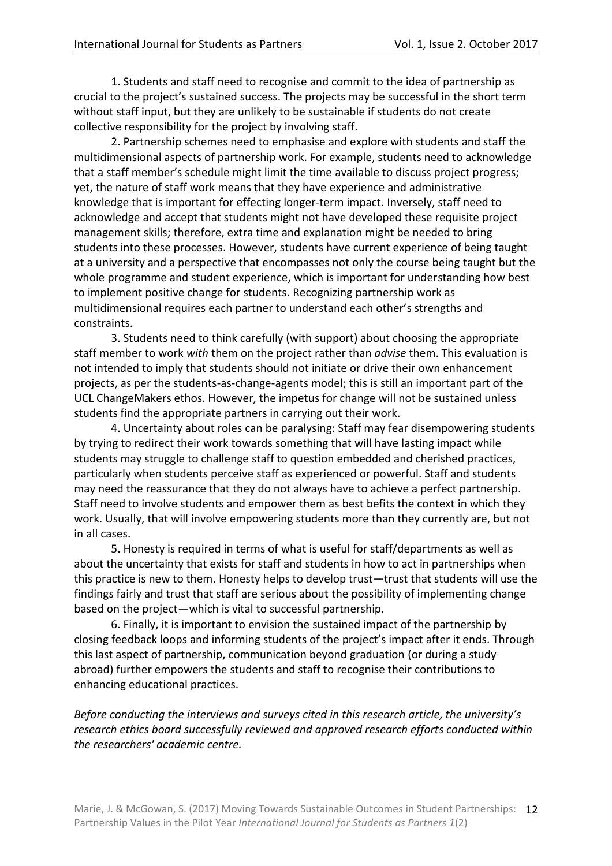1. Students and staff need to recognise and commit to the idea of partnership as crucial to the project's sustained success. The projects may be successful in the short term without staff input, but they are unlikely to be sustainable if students do not create collective responsibility for the project by involving staff.

2. Partnership schemes need to emphasise and explore with students and staff the multidimensional aspects of partnership work. For example, students need to acknowledge that a staff member's schedule might limit the time available to discuss project progress; yet, the nature of staff work means that they have experience and administrative knowledge that is important for effecting longer-term impact. Inversely, staff need to acknowledge and accept that students might not have developed these requisite project management skills; therefore, extra time and explanation might be needed to bring students into these processes. However, students have current experience of being taught at a university and a perspective that encompasses not only the course being taught but the whole programme and student experience, which is important for understanding how best to implement positive change for students. Recognizing partnership work as multidimensional requires each partner to understand each other's strengths and constraints.

3. Students need to think carefully (with support) about choosing the appropriate staff member to work *with* them on the project rather than *advise* them. This evaluation is not intended to imply that students should not initiate or drive their own enhancement projects, as per the students-as-change-agents model; this is still an important part of the UCL ChangeMakers ethos. However, the impetus for change will not be sustained unless students find the appropriate partners in carrying out their work.

4. Uncertainty about roles can be paralysing: Staff may fear disempowering students by trying to redirect their work towards something that will have lasting impact while students may struggle to challenge staff to question embedded and cherished practices, particularly when students perceive staff as experienced or powerful. Staff and students may need the reassurance that they do not always have to achieve a perfect partnership. Staff need to involve students and empower them as best befits the context in which they work. Usually, that will involve empowering students more than they currently are, but not in all cases.

5. Honesty is required in terms of what is useful for staff/departments as well as about the uncertainty that exists for staff and students in how to act in partnerships when this practice is new to them. Honesty helps to develop trust—trust that students will use the findings fairly and trust that staff are serious about the possibility of implementing change based on the project—which is vital to successful partnership.

6. Finally, it is important to envision the sustained impact of the partnership by closing feedback loops and informing students of the project's impact after it ends. Through this last aspect of partnership, communication beyond graduation (or during a study abroad) further empowers the students and staff to recognise their contributions to enhancing educational practices.

*Before conducting the interviews and surveys cited in this research article, the university's research ethics board successfully reviewed and approved research efforts conducted within the researchers' academic centre.*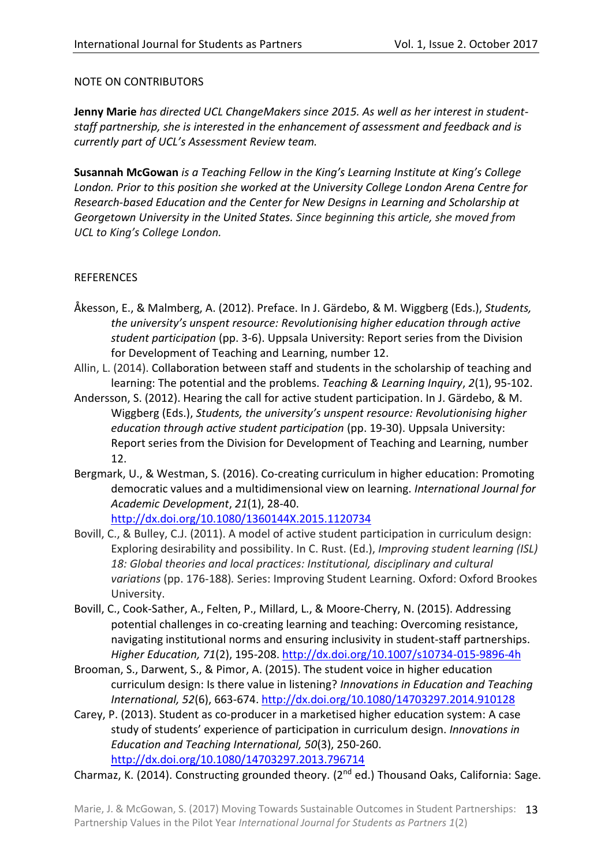# NOTE ON CONTRIBUTORS

**Jenny Marie** *has directed UCL ChangeMakers since 2015. As well as her interest in studentstaff partnership, she is interested in the enhancement of assessment and feedback and is currently part of UCL's Assessment Review team.*

**Susannah McGowan** *is a Teaching Fellow in the King's Learning Institute at King's College London. Prior to this position she worked at the University College London Arena Centre for Research-based Education and the Center for New Designs in Learning and Scholarship at Georgetown University in the United States. Since beginning this article, she moved from UCL to King's College London.*

# **REFERENCES**

- Åkesson, E., & Malmberg, A. (2012). Preface. In J. Gärdebo, & M. Wiggberg (Eds.), *Students, the university's unspent resource: Revolutionising higher education through active student participation* (pp. 3-6). Uppsala University: Report series from the Division for Development of Teaching and Learning, number 12.
- Allin, L. (2014). Collaboration between staff and students in the scholarship of teaching and learning: The potential and the problems. *Teaching & Learning Inquiry*, *2*(1), 95-102.
- Andersson, S. (2012). Hearing the call for active student participation. In J. Gärdebo, & M. Wiggberg (Eds.), *Students, the university's unspent resource: Revolutionising higher education through active student participation* (pp. 19-30). Uppsala University: Report series from the Division for Development of Teaching and Learning, number 12.
- Bergmark, U., & Westman, S. (2016). Co-creating curriculum in higher education: Promoting democratic values and a multidimensional view on learning. *International Journal for Academic Development*, *21*(1), 28-40.
	- <http://dx.doi.org/10.1080/1360144X.2015.1120734>
- Bovill, C., & Bulley, C.J. (2011). A model of active student participation in curriculum design: Exploring desirability and possibility. In C. Rust. (Ed.), *Improving student learning (ISL) 18: Global theories and local practices: Institutional, disciplinary and cultural variations* (pp. 176-188)*.* Series: Improving Student Learning. Oxford: Oxford Brookes University.
- Bovill, C., Cook-Sather, A., Felten, P., Millard, L., & Moore-Cherry, N. (2015). Addressing potential challenges in co-creating learning and teaching: Overcoming resistance, navigating institutional norms and ensuring inclusivity in student-staff partnerships. *Higher Education, 71*(2), 195-208. [http://dx.doi.org/10.1007/s10734-015-9896-4h](http://dx.doi.org/10.1007/s10734-015-9896-4)
- Brooman, S., Darwent, S., & Pimor, A. (2015). The student voice in higher education curriculum design: Is there value in listening? *Innovations in Education and Teaching International, 52*(6), 663-674. <http://dx.doi.org/10.1080/14703297.2014.910128>
- Carey, P. (2013). Student as co-producer in a marketised higher education system: A case study of students' experience of participation in curriculum design. *Innovations in Education and Teaching International, 50*(3), 250-260. <http://dx.doi.org/10.1080/14703297.2013.796714>

Charmaz, K. (2014). Constructing grounded theory. ( $2^{nd}$  ed.) Thousand Oaks, California: Sage.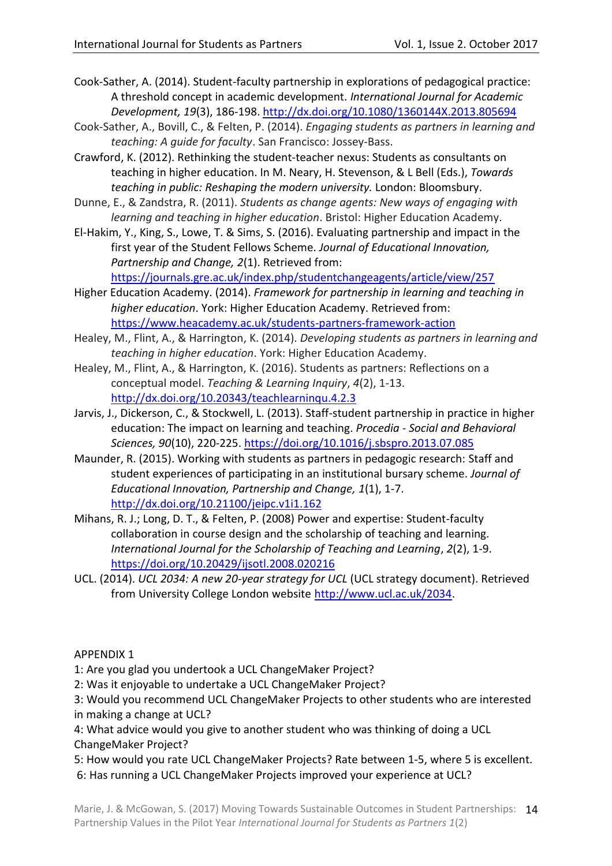Cook-Sather, A. (2014). Student-faculty partnership in explorations of pedagogical practice: A threshold concept in academic development. *International Journal for Academic Development, 19*(3), 186-198. <http://dx.doi.org/10.1080/1360144X.2013.805694>

- Cook-Sather, A., Bovill, C., & Felten, P. (2014). *Engaging students as partners in learning and teaching: A guide for faculty*. San Francisco: Jossey-Bass.
- Crawford, K. (2012). Rethinking the student-teacher nexus: Students as consultants on teaching in higher education. In M. Neary, H. Stevenson, & L Bell (Eds.), *Towards teaching in public: Reshaping the modern university.* London: Bloomsbury.
- Dunne, E., & Zandstra, R. (2011). *Students as change agents: New ways of engaging with learning and teaching in higher education*. Bristol: Higher Education Academy.
- El-Hakim, Y., King, S., Lowe, T. & Sims, S. (2016). Evaluating partnership and impact in the first year of the Student Fellows Scheme. *Journal of Educational Innovation, Partnership and Change, 2*(1). Retrieved from: <https://journals.gre.ac.uk/index.php/studentchangeagents/article/view/257>
- Higher Education Academy. (2014). *Framework for partnership in learning and teaching in higher education*. York: Higher Education Academy. Retrieved from: <https://www.heacademy.ac.uk/students-partners-framework-action>
- Healey, M., Flint, A., & Harrington, K. (2014). *Developing students as partners in learning and teaching in higher education*. York: Higher Education Academy.
- Healey, M., Flint, A., & Harrington, K. (2016). Students as partners: Reflections on a conceptual model. *Teaching & Learning Inquiry*, *4*(2), 1-13. <http://dx.doi.org/10.20343/teachlearninqu.4.2.3>
- Jarvis, J., Dickerson, C., & Stockwell, L. (2013). Staff-student partnership in practice in higher education: The impact on learning and teaching. *Procedia - Social and Behavioral Sciences, 90*(10), 220-225. <https://doi.org/10.1016/j.sbspro.2013.07.085>
- Maunder, R. (2015). Working with students as partners in pedagogic research: Staff and student experiences of participating in an institutional bursary scheme. *Journal of Educational Innovation, Partnership and Change, 1*(1), 1-7. <http://dx.doi.org/10.21100/jeipc.v1i1.162>
- Mihans, R. J.; Long, D. T., & Felten, P. (2008) Power and expertise: Student-faculty collaboration in course design and the scholarship of teaching and learning. *International Journal for the Scholarship of Teaching and Learning*, *2*(2), 1-9. <https://doi.org/10.20429/ijsotl.2008.020216>
- UCL. (2014). *UCL 2034: A new 20-year strategy for UCL* (UCL strategy document). Retrieved from University College London website [http://www.ucl.ac.uk/2034.](http://www.ucl.ac.uk/2034)

# APPENDIX 1

1: Are you glad you undertook a UCL ChangeMaker Project?

- 2: Was it enjoyable to undertake a UCL ChangeMaker Project?
- 3: Would you recommend UCL ChangeMaker Projects to other students who are interested in making a change at UCL?
- 4: What advice would you give to another student who was thinking of doing a UCL ChangeMaker Project?
- 5: How would you rate UCL ChangeMaker Projects? Rate between 1-5, where 5 is excellent. 6: Has running a UCL ChangeMaker Projects improved your experience at UCL?